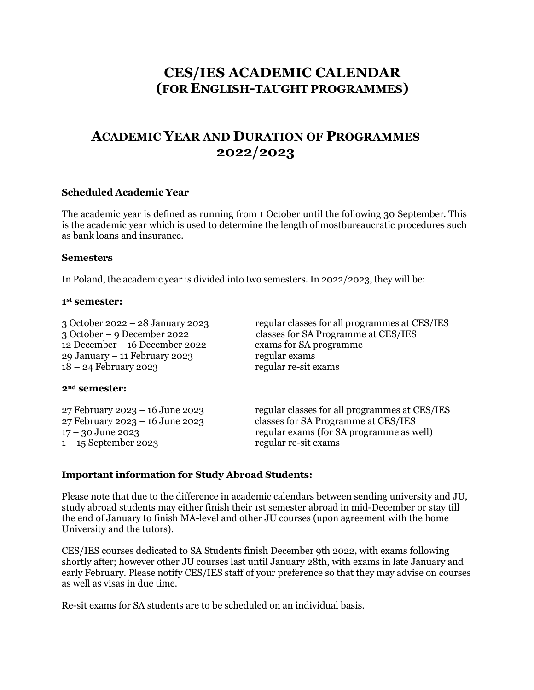# **CES/IES ACADEMIC CALENDAR (FOR ENGLISH-TAUGHT PROGRAMMES)**

## **ACADEMIC YEAR AND DURATION OF PROGRAMMES 2022/2023**

#### **Scheduled Academic Year**

The academic year is defined as running from 1 October until the following 30 September. This is the academic year which is used to determine the length of mostbureaucratic procedures such as bank loans and insurance.

#### **Semesters**

In Poland, the academic year is divided into two semesters. In 2022/2023, they will be:

#### **1 st semester:**

12 December – 16 December 2022 exams for SA programme 29 January – 11 February 2023 regular exams 18 – 24 February 2023 regular re-sit exams

# 3 October 2022 – 28 January 2023 regular classes for all programmes at CES/IES 3 October – 9 December 2022 classes for SA Programme at CES/IES

#### **2nd semester:**

 $1 - 15$  September 2023 regular re-sit exams

27 February 2023 – 16 June 2023 regular classes for all programmes at CES/IES 27 February 2023 – 16 June 2023 classes for SA Programme at CES/IES 17 – 30 June 2023 regular exams (for SA programme as well)

#### **Important information for Study Abroad Students:**

Please note that due to the difference in academic calendars between sending university and JU, study abroad students may either finish their 1st semester abroad in mid-December or stay till the end of January to finish MA-level and other JU courses (upon agreement with the home University and the tutors).

CES/IES courses dedicated to SA Students finish December 9th 2022, with exams following shortly after; however other JU courses last until January 28th, with exams in late January and early February. Please notify CES/IES staff of your preference so that they may advise on courses as well as visas in due time.

Re-sit exams for SA students are to be scheduled on an individual basis.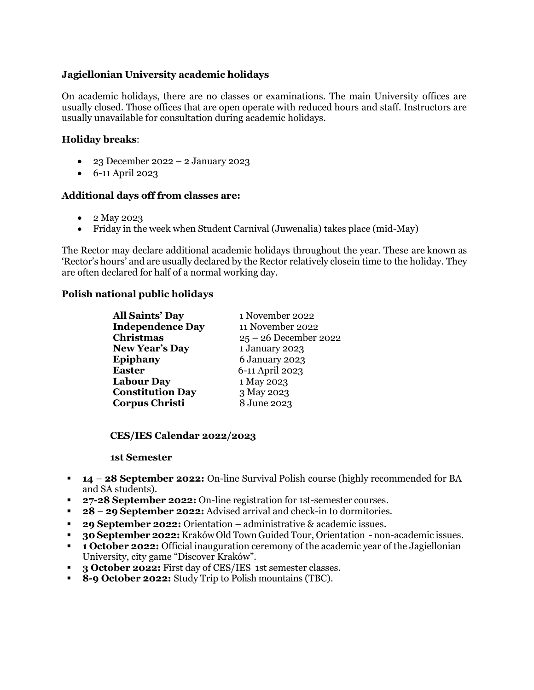## **Jagiellonian University academic holidays**

On academic holidays, there are no classes or examinations. The main University offices are usually closed. Those offices that are open operate with reduced hours and staff. Instructors are usually unavailable for consultation during academic holidays.

## **Holiday breaks**:

- $\bullet$  23 December 2022 2 January 2023
- 6-11 April 2023

#### **Additional days off from classes are:**

- 2 May 2023
- Friday in the week when Student Carnival (Juwenalia) takes place (mid-May)

The Rector may declare additional academic holidays throughout the year. These are known as 'Rector's hours' and are usually declared by the Rector relatively closein time to the holiday. They are often declared for half of a normal working day.

#### **Polish national public holidays**

| <b>All Saints' Day</b>  | 1 November 2022         |
|-------------------------|-------------------------|
| <b>Independence Day</b> | 11 November 2022        |
| Christmas               | $25 - 26$ December 2022 |
| <b>New Year's Day</b>   | 1 January 2023          |
| <b>Epiphany</b>         | 6 January 2023          |
| <b>Easter</b>           | 6-11 April 2023         |
| <b>Labour Day</b>       | 1 May 2023              |
| <b>Constitution Day</b> | 3 May 2023              |
| <b>Corpus Christi</b>   | 8 June 2023             |

**CES/IES Calendar 2022/2023**

#### **1st Semester**

- **14 28 September 2022:** On-line Survival Polish course (highly recommended for BA and SA students).
- **27-28 September 2022:** On-line registration for 1st-semester courses.
- **28 29 September 2022:** Advised arrival and check-in to dormitories.
- **29 September 2022:** Orientation administrative & academic issues.
- **30 September 2022:**Kraków Old Town Guided Tour, Orientation non-academic issues.
- **1 October 2022:** Official inauguration ceremony of the academic year of the Jagiellonian University, city game "Discover Kraków".
- **3 October 2022:** First day of CES/IES 1st semester classes.
- **8-9 October 2022:** Study Trip to Polish mountains (TBC).